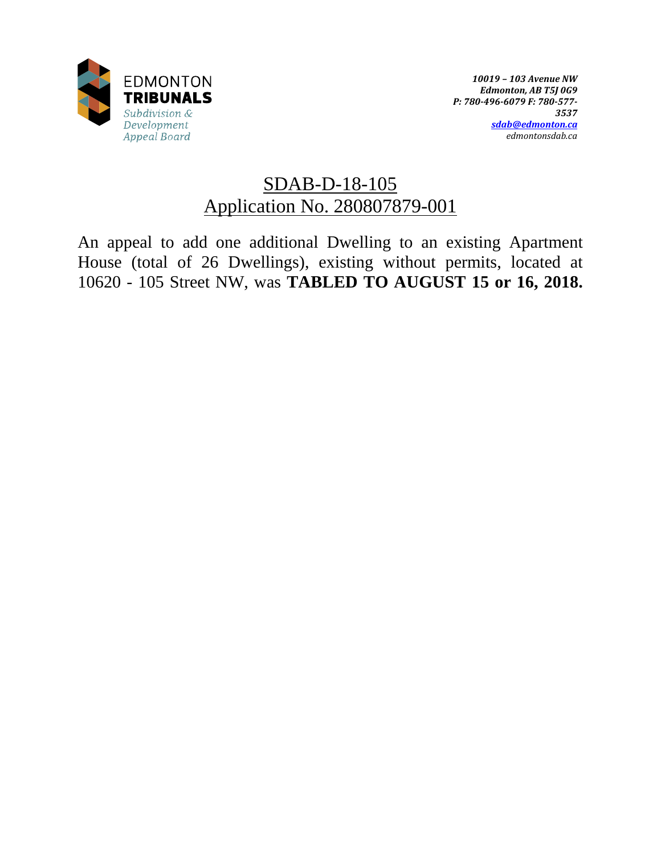

# SDAB-D-18-105 Application No. 280807879-001

An appeal to add one additional Dwelling to an existing Apartment House (total of 26 Dwellings), existing without permits, located at 10620 - 105 Street NW, was **TABLED TO AUGUST 15 or 16, 2018.**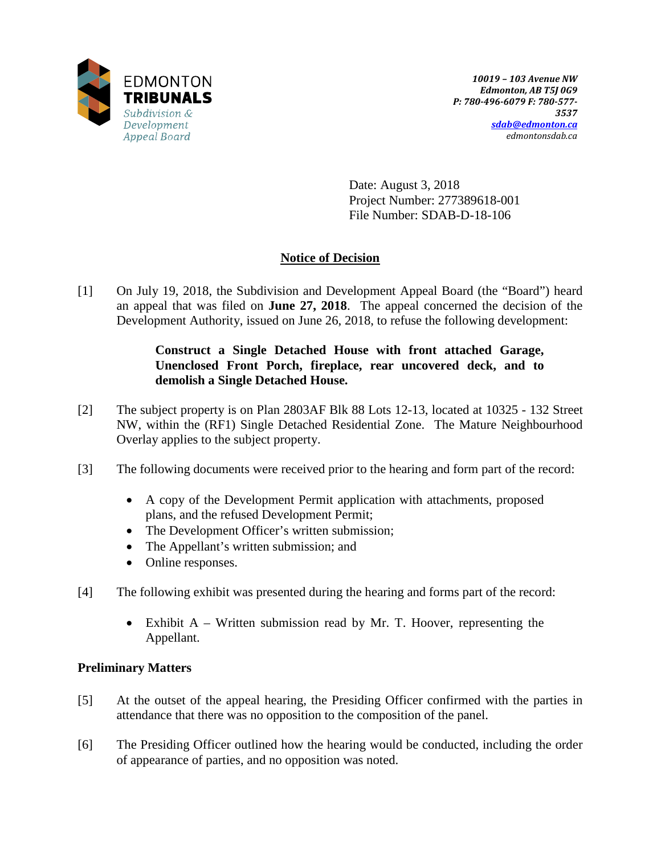

Date: August 3, 2018 Project Number: 277389618-001 File Number: SDAB-D-18-106

# **Notice of Decision**

[1] On July 19, 2018, the Subdivision and Development Appeal Board (the "Board") heard an appeal that was filed on **June 27, 2018**. The appeal concerned the decision of the Development Authority, issued on June 26, 2018, to refuse the following development:

# **Construct a Single Detached House with front attached Garage, Unenclosed Front Porch, fireplace, rear uncovered deck, and to demolish a Single Detached House.**

- [2] The subject property is on Plan 2803AF Blk 88 Lots 12-13, located at 10325 132 Street NW, within the (RF1) Single Detached Residential Zone. The Mature Neighbourhood Overlay applies to the subject property.
- [3] The following documents were received prior to the hearing and form part of the record:
	- A copy of the Development Permit application with attachments, proposed plans, and the refused Development Permit;
	- The Development Officer's written submission;
	- The Appellant's written submission; and
	- Online responses.
- [4] The following exhibit was presented during the hearing and forms part of the record:
	- Exhibit A Written submission read by Mr. T. Hoover, representing the Appellant.

# **Preliminary Matters**

- [5] At the outset of the appeal hearing, the Presiding Officer confirmed with the parties in attendance that there was no opposition to the composition of the panel.
- [6] The Presiding Officer outlined how the hearing would be conducted, including the order of appearance of parties, and no opposition was noted.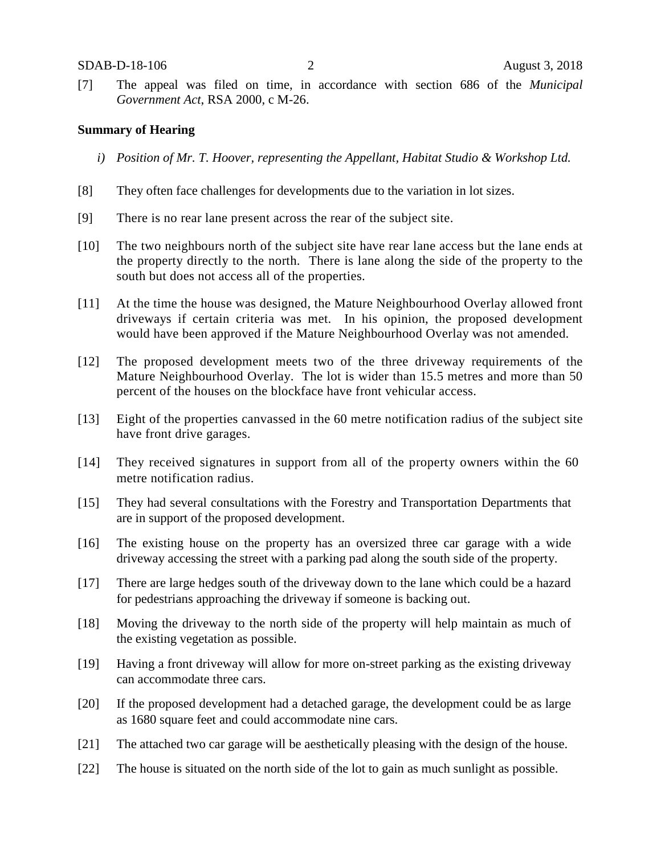[7] The appeal was filed on time, in accordance with section 686 of the *Municipal Government Act*, RSA 2000, c M-26.

#### **Summary of Hearing**

- *i) Position of Mr. T. Hoover, representing the Appellant, Habitat Studio & Workshop Ltd.*
- [8] They often face challenges for developments due to the variation in lot sizes.
- [9] There is no rear lane present across the rear of the subject site.
- [10] The two neighbours north of the subject site have rear lane access but the lane ends at the property directly to the north. There is lane along the side of the property to the south but does not access all of the properties.
- [11] At the time the house was designed, the Mature Neighbourhood Overlay allowed front driveways if certain criteria was met. In his opinion, the proposed development would have been approved if the Mature Neighbourhood Overlay was not amended.
- [12] The proposed development meets two of the three driveway requirements of the Mature Neighbourhood Overlay. The lot is wider than 15.5 metres and more than 50 percent of the houses on the blockface have front vehicular access.
- [13] Eight of the properties canvassed in the 60 metre notification radius of the subject site have front drive garages.
- [14] They received signatures in support from all of the property owners within the 60 metre notification radius.
- [15] They had several consultations with the Forestry and Transportation Departments that are in support of the proposed development.
- [16] The existing house on the property has an oversized three car garage with a wide driveway accessing the street with a parking pad along the south side of the property.
- [17] There are large hedges south of the driveway down to the lane which could be a hazard for pedestrians approaching the driveway if someone is backing out.
- [18] Moving the driveway to the north side of the property will help maintain as much of the existing vegetation as possible.
- [19] Having a front driveway will allow for more on-street parking as the existing driveway can accommodate three cars.
- [20] If the proposed development had a detached garage, the development could be as large as 1680 square feet and could accommodate nine cars.
- [21] The attached two car garage will be aesthetically pleasing with the design of the house.
- [22] The house is situated on the north side of the lot to gain as much sunlight as possible.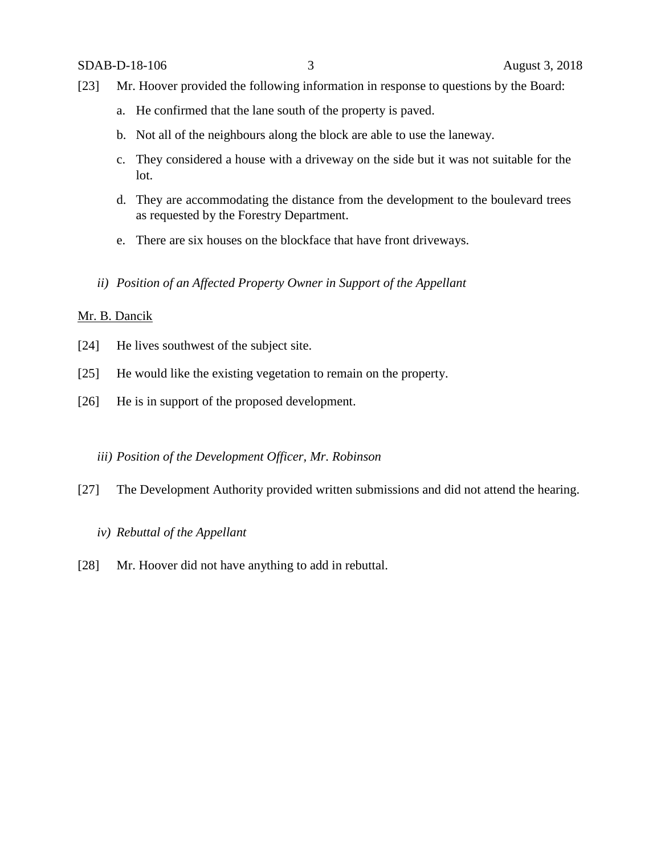- [23] Mr. Hoover provided the following information in response to questions by the Board:
	- a. He confirmed that the lane south of the property is paved.
	- b. Not all of the neighbours along the block are able to use the laneway.
	- c. They considered a house with a driveway on the side but it was not suitable for the lot.
	- d. They are accommodating the distance from the development to the boulevard trees as requested by the Forestry Department.
	- e. There are six houses on the blockface that have front driveways.
	- *ii) Position of an Affected Property Owner in Support of the Appellant*

### Mr. B. Dancik

- [24] He lives southwest of the subject site.
- [25] He would like the existing vegetation to remain on the property.
- [26] He is in support of the proposed development.

#### *iii) Position of the Development Officer, Mr. Robinson*

[27] The Development Authority provided written submissions and did not attend the hearing.

# *iv) Rebuttal of the Appellant*

[28] Mr. Hoover did not have anything to add in rebuttal.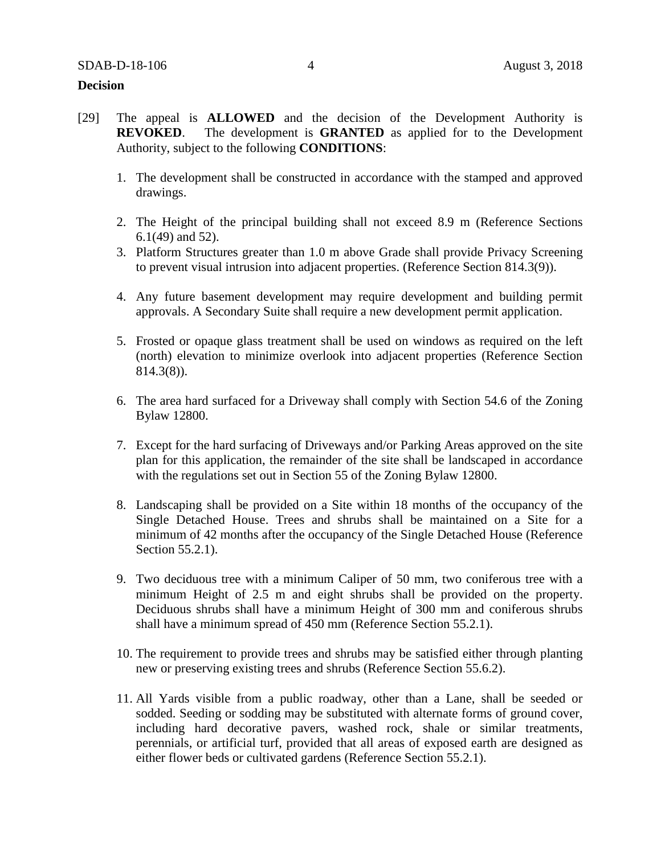#### **Decision**

- [29] The appeal is **ALLOWED** and the decision of the Development Authority is **REVOKED**. The development is **GRANTED** as applied for to the Development Authority, subject to the following **CONDITIONS**:
	- 1. The development shall be constructed in accordance with the stamped and approved drawings.
	- 2. The Height of the principal building shall not exceed 8.9 m (Reference Sections 6.1(49) and 52).
	- 3. Platform Structures greater than 1.0 m above Grade shall provide Privacy Screening to prevent visual intrusion into adjacent properties. (Reference Section 814.3(9)).
	- 4. Any future basement development may require development and building permit approvals. A Secondary Suite shall require a new development permit application.
	- 5. Frosted or opaque glass treatment shall be used on windows as required on the left (north) elevation to minimize overlook into adjacent properties (Reference Section 814.3(8)).
	- 6. The area hard surfaced for a Driveway shall comply with Section 54.6 of the Zoning Bylaw 12800.
	- 7. Except for the hard surfacing of Driveways and/or Parking Areas approved on the site plan for this application, the remainder of the site shall be landscaped in accordance with the regulations set out in Section 55 of the Zoning Bylaw 12800.
	- 8. Landscaping shall be provided on a Site within 18 months of the occupancy of the Single Detached House. Trees and shrubs shall be maintained on a Site for a minimum of 42 months after the occupancy of the Single Detached House (Reference Section 55.2.1).
	- 9. Two deciduous tree with a minimum Caliper of 50 mm, two coniferous tree with a minimum Height of 2.5 m and eight shrubs shall be provided on the property. Deciduous shrubs shall have a minimum Height of 300 mm and coniferous shrubs shall have a minimum spread of 450 mm (Reference Section 55.2.1).
	- 10. The requirement to provide trees and shrubs may be satisfied either through planting new or preserving existing trees and shrubs (Reference Section 55.6.2).
	- 11. All Yards visible from a public roadway, other than a Lane, shall be seeded or sodded. Seeding or sodding may be substituted with alternate forms of ground cover, including hard decorative pavers, washed rock, shale or similar treatments, perennials, or artificial turf, provided that all areas of exposed earth are designed as either flower beds or cultivated gardens (Reference Section 55.2.1).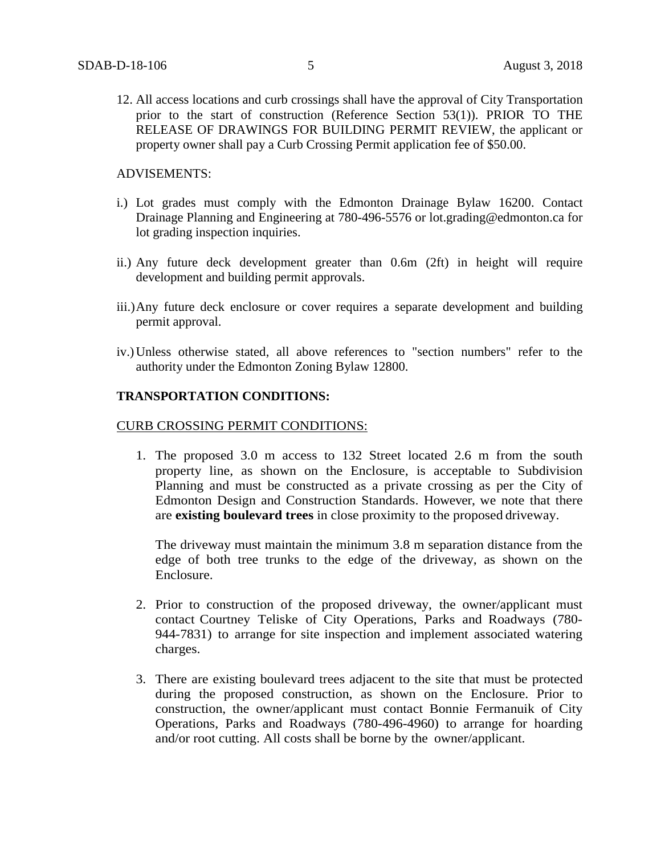12. All access locations and curb crossings shall have the approval of City Transportation prior to the start of construction (Reference Section 53(1)). PRIOR TO THE RELEASE OF DRAWINGS FOR BUILDING PERMIT REVIEW, the applicant or property owner shall pay a Curb Crossing Permit application fee of \$50.00.

ADVISEMENTS:

- i.) Lot grades must comply with the Edmonton Drainage Bylaw 16200. Contact Drainage Planning and Engineering at 780-496-5576 or lot.grading@edmonton.ca for lot grading inspection inquiries.
- ii.) Any future deck development greater than 0.6m (2ft) in height will require development and building permit approvals.
- iii.)Any future deck enclosure or cover requires a separate development and building permit approval.
- iv.)Unless otherwise stated, all above references to "section numbers" refer to the authority under the Edmonton Zoning Bylaw 12800.

### **TRANSPORTATION CONDITIONS:**

#### CURB CROSSING PERMIT CONDITIONS:

1. The proposed 3.0 m access to 132 Street located 2.6 m from the south property line, as shown on the Enclosure, is acceptable to Subdivision Planning and must be constructed as a private crossing as per the City of Edmonton Design and Construction Standards. However, we note that there are **existing boulevard trees** in close proximity to the proposed driveway.

The driveway must maintain the minimum 3.8 m separation distance from the edge of both tree trunks to the edge of the driveway, as shown on the Enclosure.

- 2. Prior to construction of the proposed driveway, the owner/applicant must contact Courtney Teliske of City Operations, Parks and Roadways (780- 944-7831) to arrange for site inspection and implement associated watering charges.
- 3. There are existing boulevard trees adjacent to the site that must be protected during the proposed construction, as shown on the Enclosure. Prior to construction, the owner/applicant must contact Bonnie Fermanuik of City Operations, Parks and Roadways (780-496-4960) to arrange for hoarding and/or root cutting. All costs shall be borne by the owner/applicant.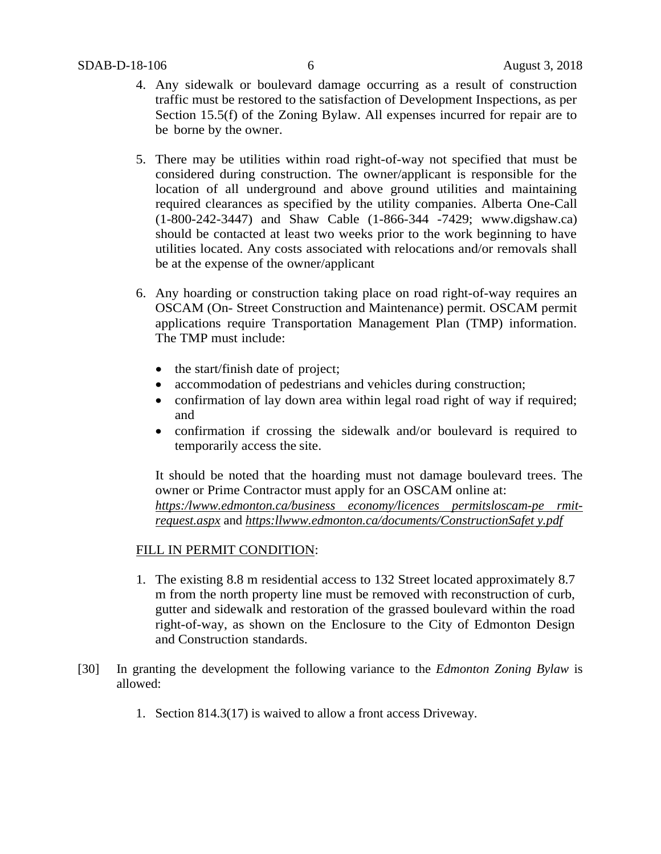- 4. Any sidewalk or boulevard damage occurring as a result of construction traffic must be restored to the satisfaction of Development Inspections, as per Section 15.5(f) of the Zoning Bylaw. All expenses incurred for repair are to be borne by the owner.
- 5. There may be utilities within road right-of-way not specified that must be considered during construction. The owner/applicant is responsible for the location of all underground and above ground utilities and maintaining required clearances as specified by the utility companies. Alberta One-Call (1-800-242-3447) and Shaw Cable (1-866-344 -7429; www.digshaw.ca) should be contacted at least two weeks prior to the work beginning to have utilities located. Any costs associated with relocations and/or removals shall be at the expense of the owner/applicant
- 6. Any hoarding or construction taking place on road right-of-way requires an OSCAM (On- Street Construction and Maintenance) permit. OSCAM permit applications require Transportation Management Plan (TMP) information. The TMP must include:
	- the start/finish date of project;
	- accommodation of pedestrians and vehicles during construction;
	- confirmation of lay down area within legal road right of way if required; and
	- confirmation if crossing the sidewalk and/or boulevard is required to temporarily access the site.

It should be noted that the hoarding must not damage boulevard trees. The owner or Prime Contractor must apply for an OSCAM online at: *https[:/lwww.edmonton.ca/business economy/licences permitsloscam-pe rmit](http://www.edmonton.ca/businesseconomy/licencespermitsloscam-permit-request.aspx)[request.aspx](http://www.edmonton.ca/businesseconomy/licencespermitsloscam-permit-request.aspx)* and *https:l[lwww.edmonton.ca/documents/ConstructionSafet y.pdf](http://www.edmonton.ca/documents/ConstructionSafety.pdf)*

# FILL IN PERMIT CONDITION:

- 1. The existing 8.8 m residential access to 132 Street located approximately 8.7 m from the north property line must be removed with reconstruction of curb, gutter and sidewalk and restoration of the grassed boulevard within the road right-of-way, as shown on the Enclosure to the City of Edmonton Design and Construction standards.
- [30] In granting the development the following variance to the *Edmonton Zoning Bylaw* is allowed:
	- 1. Section 814.3(17) is waived to allow a front access Driveway.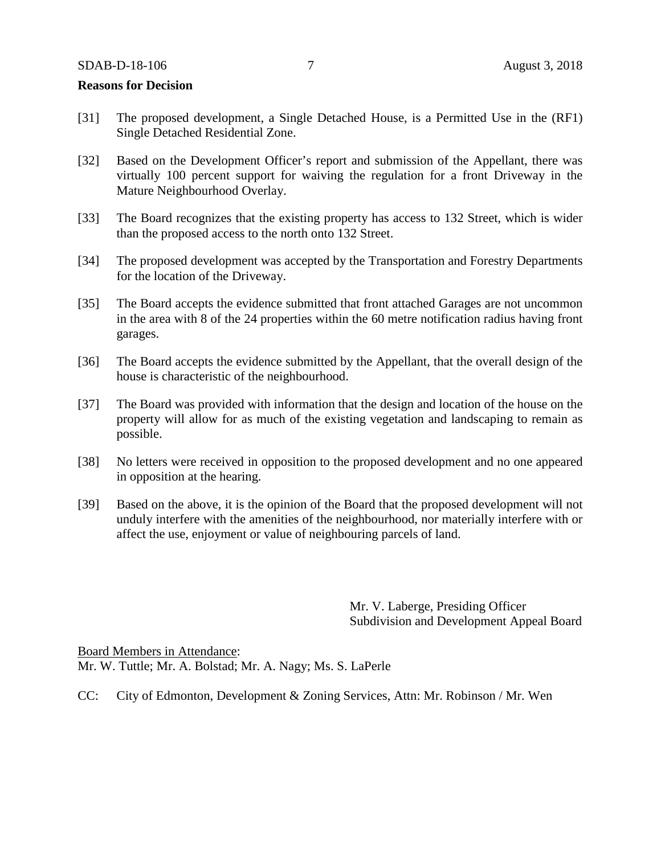#### **Reasons for Decision**

- [31] The proposed development, a Single Detached House, is a Permitted Use in the (RF1) Single Detached Residential Zone.
- [32] Based on the Development Officer's report and submission of the Appellant, there was virtually 100 percent support for waiving the regulation for a front Driveway in the Mature Neighbourhood Overlay.
- [33] The Board recognizes that the existing property has access to 132 Street, which is wider than the proposed access to the north onto 132 Street.
- [34] The proposed development was accepted by the Transportation and Forestry Departments for the location of the Driveway.
- [35] The Board accepts the evidence submitted that front attached Garages are not uncommon in the area with 8 of the 24 properties within the 60 metre notification radius having front garages.
- [36] The Board accepts the evidence submitted by the Appellant, that the overall design of the house is characteristic of the neighbourhood.
- [37] The Board was provided with information that the design and location of the house on the property will allow for as much of the existing vegetation and landscaping to remain as possible.
- [38] No letters were received in opposition to the proposed development and no one appeared in opposition at the hearing.
- [39] Based on the above, it is the opinion of the Board that the proposed development will not unduly interfere with the amenities of the neighbourhood, nor materially interfere with or affect the use, enjoyment or value of neighbouring parcels of land.

Mr. V. Laberge, Presiding Officer Subdivision and Development Appeal Board

Board Members in Attendance: Mr. W. Tuttle; Mr. A. Bolstad; Mr. A. Nagy; Ms. S. LaPerle

CC: City of Edmonton, Development & Zoning Services, Attn: Mr. Robinson / Mr. Wen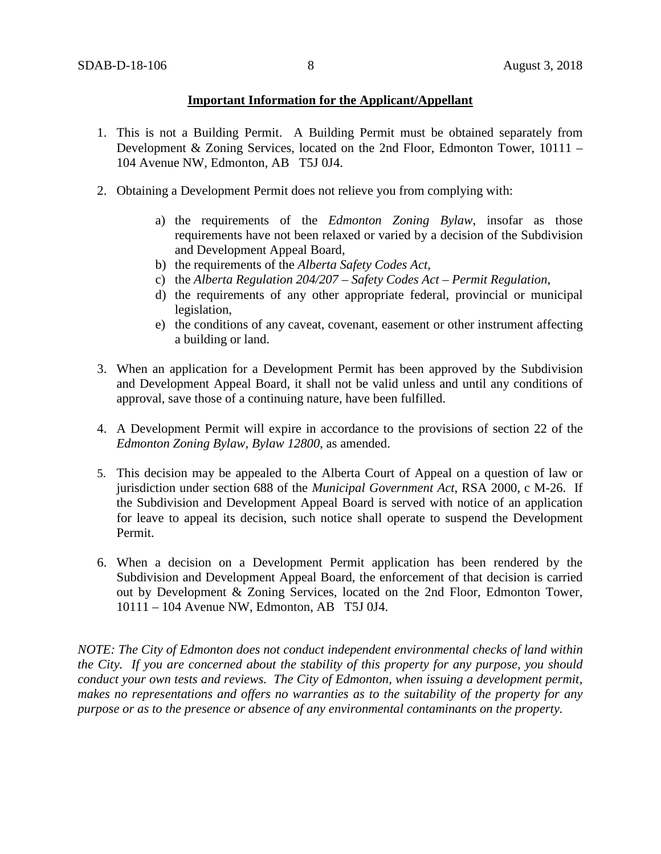# **Important Information for the Applicant/Appellant**

- 1. This is not a Building Permit. A Building Permit must be obtained separately from Development & Zoning Services, located on the 2nd Floor, Edmonton Tower, 10111 – 104 Avenue NW, Edmonton, AB T5J 0J4.
- 2. Obtaining a Development Permit does not relieve you from complying with:
	- a) the requirements of the *Edmonton Zoning Bylaw*, insofar as those requirements have not been relaxed or varied by a decision of the Subdivision and Development Appeal Board,
	- b) the requirements of the *Alberta Safety Codes Act*,
	- c) the *Alberta Regulation 204/207 – Safety Codes Act – Permit Regulation*,
	- d) the requirements of any other appropriate federal, provincial or municipal legislation,
	- e) the conditions of any caveat, covenant, easement or other instrument affecting a building or land.
- 3. When an application for a Development Permit has been approved by the Subdivision and Development Appeal Board, it shall not be valid unless and until any conditions of approval, save those of a continuing nature, have been fulfilled.
- 4. A Development Permit will expire in accordance to the provisions of section 22 of the *Edmonton Zoning Bylaw, Bylaw 12800*, as amended.
- 5. This decision may be appealed to the Alberta Court of Appeal on a question of law or jurisdiction under section 688 of the *Municipal Government Act*, RSA 2000, c M-26. If the Subdivision and Development Appeal Board is served with notice of an application for leave to appeal its decision, such notice shall operate to suspend the Development Permit.
- 6. When a decision on a Development Permit application has been rendered by the Subdivision and Development Appeal Board, the enforcement of that decision is carried out by Development & Zoning Services, located on the 2nd Floor, Edmonton Tower, 10111 – 104 Avenue NW, Edmonton, AB T5J 0J4.

*NOTE: The City of Edmonton does not conduct independent environmental checks of land within the City. If you are concerned about the stability of this property for any purpose, you should conduct your own tests and reviews. The City of Edmonton, when issuing a development permit, makes no representations and offers no warranties as to the suitability of the property for any purpose or as to the presence or absence of any environmental contaminants on the property.*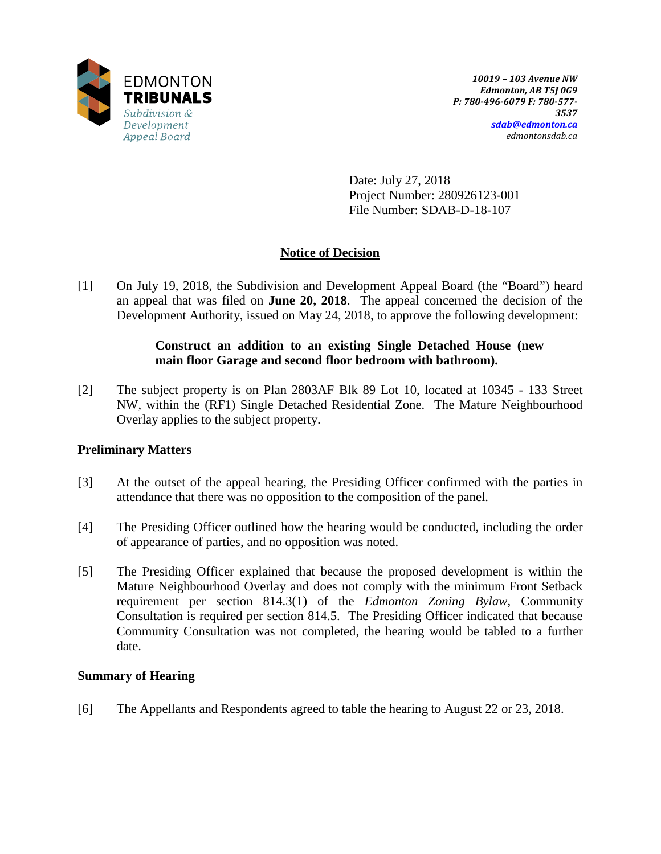

Date: July 27, 2018 Project Number: 280926123-001 File Number: SDAB-D-18-107

# **Notice of Decision**

[1] On July 19, 2018, the Subdivision and Development Appeal Board (the "Board") heard an appeal that was filed on **June 20, 2018**. The appeal concerned the decision of the Development Authority, issued on May 24, 2018, to approve the following development:

# **Construct an addition to an existing Single Detached House (new main floor Garage and second floor bedroom with bathroom).**

[2] The subject property is on Plan 2803AF Blk 89 Lot 10, located at 10345 - 133 Street NW, within the (RF1) Single Detached Residential Zone. The Mature Neighbourhood Overlay applies to the subject property.

# **Preliminary Matters**

- [3] At the outset of the appeal hearing, the Presiding Officer confirmed with the parties in attendance that there was no opposition to the composition of the panel.
- [4] The Presiding Officer outlined how the hearing would be conducted, including the order of appearance of parties, and no opposition was noted.
- [5] The Presiding Officer explained that because the proposed development is within the Mature Neighbourhood Overlay and does not comply with the minimum Front Setback requirement per section 814.3(1) of the *Edmonton Zoning Bylaw*, Community Consultation is required per section 814.5. The Presiding Officer indicated that because Community Consultation was not completed, the hearing would be tabled to a further date.

# **Summary of Hearing**

[6] The Appellants and Respondents agreed to table the hearing to August 22 or 23, 2018.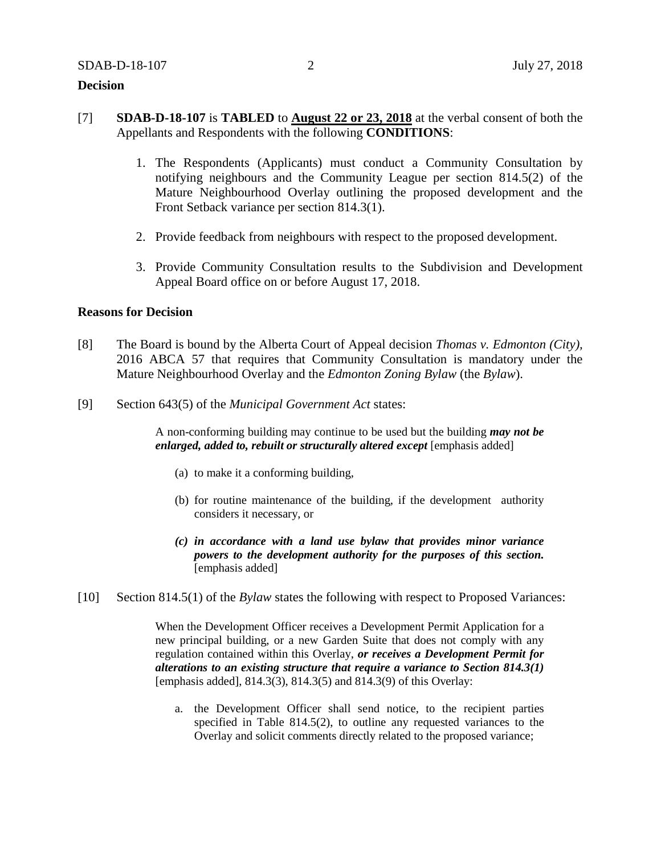## **Decision**

- [7] **SDAB-D-18-107** is **TABLED** to **August 22 or 23, 2018** at the verbal consent of both the Appellants and Respondents with the following **CONDITIONS**:
	- 1. The Respondents (Applicants) must conduct a Community Consultation by notifying neighbours and the Community League per section 814.5(2) of the Mature Neighbourhood Overlay outlining the proposed development and the Front Setback variance per section 814.3(1).
	- 2. Provide feedback from neighbours with respect to the proposed development.
	- 3. Provide Community Consultation results to the Subdivision and Development Appeal Board office on or before August 17, 2018.

#### **Reasons for Decision**

- [8] The Board is bound by the Alberta Court of Appeal decision *Thomas v. Edmonton (City),*  2016 ABCA 57 that requires that Community Consultation is mandatory under the Mature Neighbourhood Overlay and the *Edmonton Zoning Bylaw* (the *Bylaw*).
- [9] Section 643(5) of the *Municipal Government Act* states:

A non-conforming building may continue to be used but the building *may not be enlarged, added to, rebuilt or structurally altered except* [emphasis added]

- (a) to make it a conforming building,
- (b) for routine maintenance of the building, if the development authority considers it necessary, or
- *(c) in accordance with a land use bylaw that provides minor variance powers to the development authority for the purposes of this section.* [emphasis added]
- [10] Section 814.5(1) of the *Bylaw* states the following with respect to Proposed Variances:

When the Development Officer receives a Development Permit Application for a new principal building, or a new Garden Suite that does not comply with any regulation contained within this Overlay, *or receives a Development Permit for alterations to an existing structure that require a variance to Section 814.3(1)*  [emphasis added], 814.3(3), 814.3(5) and 814.3(9) of this Overlay:

a. the Development Officer shall send notice, to the recipient parties specified in Table 814.5(2), to outline any requested variances to the Overlay and solicit comments directly related to the proposed variance;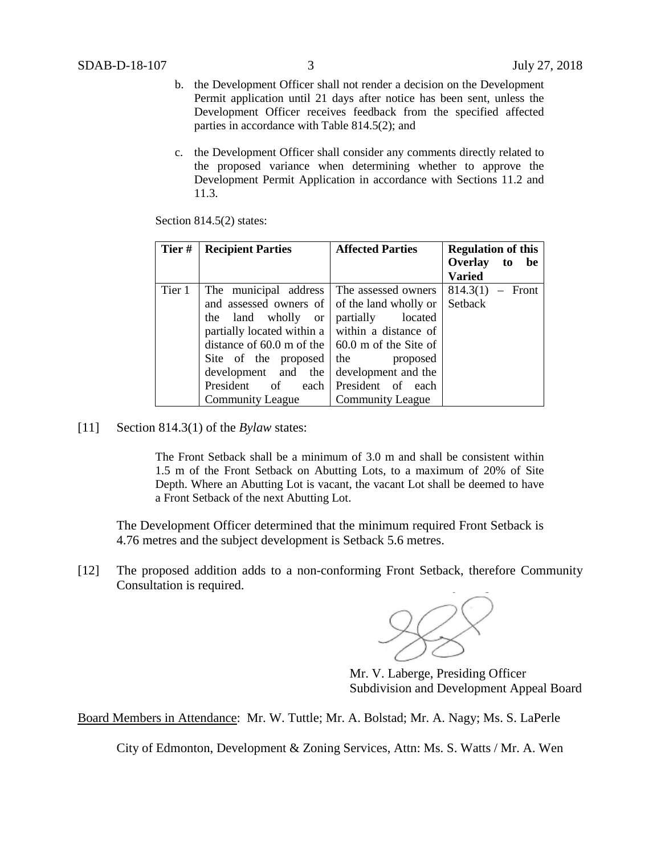- b. the Development Officer shall not render a decision on the Development Permit application until 21 days after notice has been sent, unless the Development Officer receives feedback from the specified affected parties in accordance with Table 814.5(2); and
- c. the Development Officer shall consider any comments directly related to the proposed variance when determining whether to approve the Development Permit Application in accordance with Sections 11.2 and 11.3.

Section 814.5(2) states:

| Tier#  | <b>Recipient Parties</b>                                | <b>Affected Parties</b> | <b>Regulation of this</b> |
|--------|---------------------------------------------------------|-------------------------|---------------------------|
|        |                                                         |                         | Overlay to<br>be          |
|        |                                                         |                         | <b>Varied</b>             |
| Tier 1 | The municipal address The assessed owners               |                         | $814.3(1) -$ Front        |
|        | and assessed owners of of the land wholly or            |                         | Setback                   |
|        | the land wholly or                                      | partially located       |                           |
|        | partially located within a $\vert$ within a distance of |                         |                           |
|        | distance of 60.0 m of the $\vert$ 60.0 m of the Site of |                         |                           |
|        | Site of the proposed                                    | the proposed            |                           |
|        | development and the                                     | development and the     |                           |
|        | President of each                                       | President of each       |                           |
|        | Community League Community League                       |                         |                           |

[11] Section 814.3(1) of the *Bylaw* states:

The Front Setback shall be a minimum of 3.0 m and shall be consistent within 1.5 m of the Front Setback on Abutting Lots, to a maximum of 20% of Site Depth. Where an Abutting Lot is vacant, the vacant Lot shall be deemed to have a Front Setback of the next Abutting Lot.

The Development Officer determined that the minimum required Front Setback is 4.76 metres and the subject development is Setback 5.6 metres.

[12] The proposed addition adds to a non-conforming Front Setback, therefore Community Consultation is required.



Mr. V. Laberge, Presiding Officer Subdivision and Development Appeal Board

Board Members in Attendance: Mr. W. Tuttle; Mr. A. Bolstad; Mr. A. Nagy; Ms. S. LaPerle

City of Edmonton, Development & Zoning Services, Attn: Ms. S. Watts / Mr. A. Wen